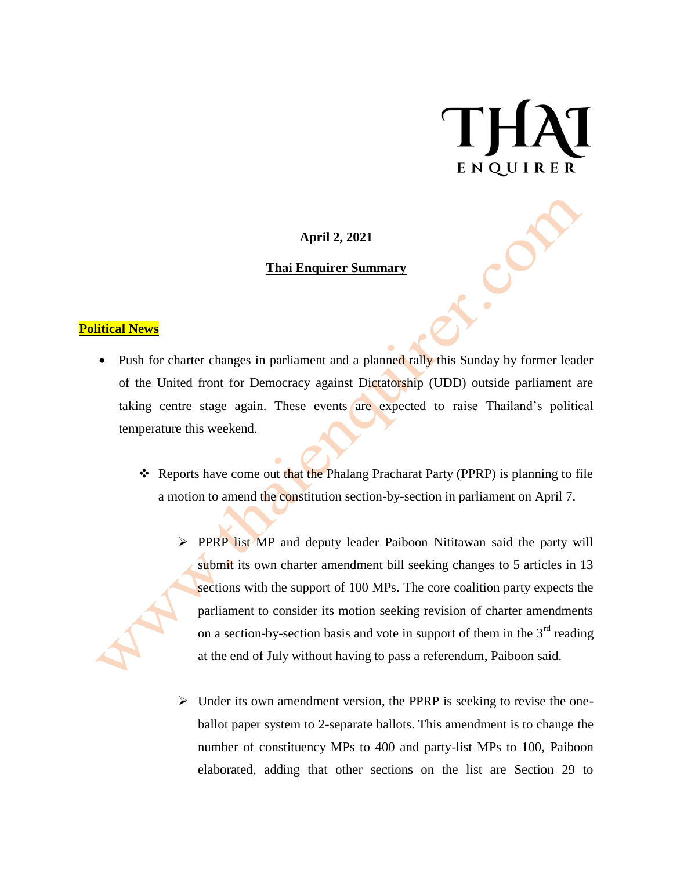# ENQUIRER

**April 2, 2021**

#### **Thai Enquirer Summary**

#### **Political News**

- Push for charter changes in parliament and a planned rally this Sunday by former leader of the United front for Democracy against Dictatorship (UDD) outside parliament are taking centre stage again. These events are expected to raise Thailand's political temperature this weekend.
	- \* Reports have come out that the Phalang Pracharat Party (PPRP) is planning to file a motion to amend the constitution section-by-section in parliament on April 7.
		- **PPRP list MP** and deputy leader Paiboon Nititawan said the party will submit its own charter amendment bill seeking changes to 5 articles in 13 sections with the support of 100 MPs. The core coalition party expects the parliament to consider its motion seeking revision of charter amendments on a section-by-section basis and vote in support of them in the  $3<sup>rd</sup>$  reading at the end of July without having to pass a referendum, Paiboon said.
		- $\triangleright$  Under its own amendment version, the PPRP is seeking to revise the oneballot paper system to 2-separate ballots. This amendment is to change the number of constituency MPs to 400 and party-list MPs to 100, Paiboon elaborated, adding that other sections on the list are Section 29 to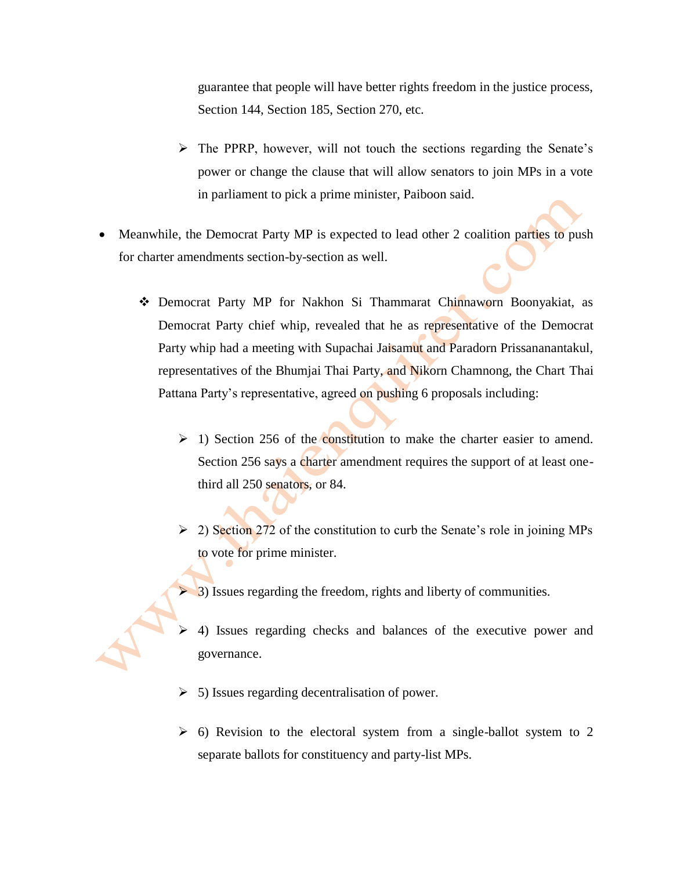guarantee that people will have better rights freedom in the justice process, Section 144, Section 185, Section 270, etc.

- $\triangleright$  The PPRP, however, will not touch the sections regarding the Senate's power or change the clause that will allow senators to join MPs in a vote in parliament to pick a prime minister, Paiboon said.
- Meanwhile, the Democrat Party MP is expected to lead other 2 coalition parties to push for charter amendments section-by-section as well.
	- Democrat Party MP for Nakhon Si Thammarat Chinnaworn Boonyakiat, as Democrat Party chief whip, revealed that he as representative of the Democrat Party whip had a meeting with Supachai Jaisamut and Paradorn Prissananantakul, representatives of the Bhumjai Thai Party, and Nikorn Chamnong, the Chart Thai Pattana Party's representative, agreed on pushing 6 proposals including:
		- $\geq$  1) Section 256 of the constitution to make the charter easier to amend. Section 256 says a charter amendment requires the support of at least onethird all 250 senators, or 84.
		- $\geq$  2) Section 272 of the constitution to curb the Senate's role in joining MPs to vote for prime minister.
		- $\triangleright$  3) Issues regarding the freedom, rights and liberty of communities.
		- $\geq$  4) Issues regarding checks and balances of the executive power and governance.
		- $\geq$  5) Issues regarding decentralisation of power.
		- $\geq$  6) Revision to the electoral system from a single-ballot system to 2 separate ballots for constituency and party-list MPs.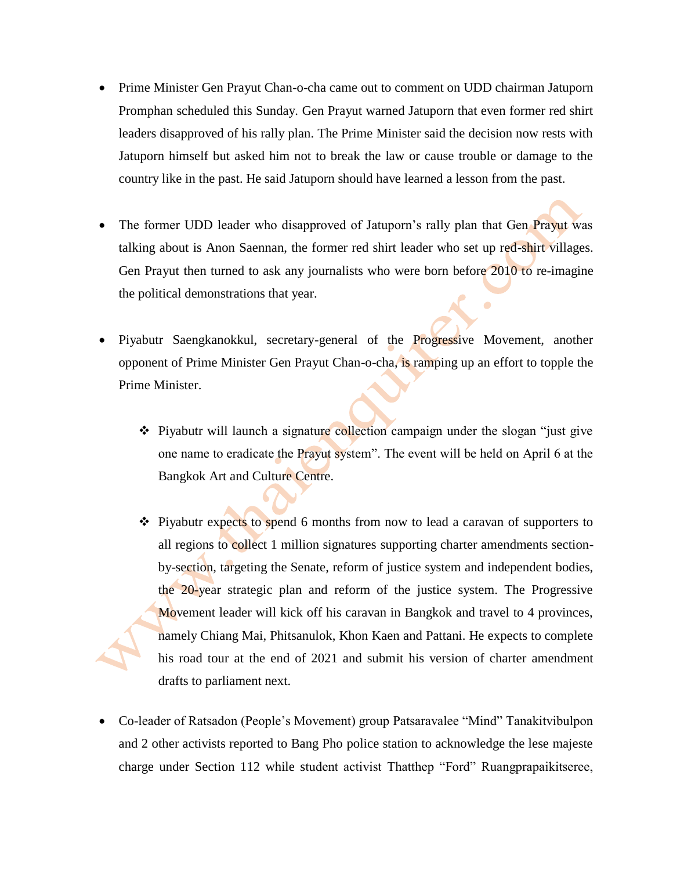- Prime Minister Gen Prayut Chan-o-cha came out to comment on UDD chairman Jatuporn Promphan scheduled this Sunday. Gen Prayut warned Jatuporn that even former red shirt leaders disapproved of his rally plan. The Prime Minister said the decision now rests with Jatuporn himself but asked him not to break the law or cause trouble or damage to the country like in the past. He said Jatuporn should have learned a lesson from the past.
- The former UDD leader who disapproved of Jatuporn's rally plan that Gen Prayut was talking about is Anon Saennan, the former red shirt leader who set up red-shirt villages. Gen Prayut then turned to ask any journalists who were born before 2010 to re-imagine the political demonstrations that year.
- Piyabutr Saengkanokkul, secretary-general of the Progressive Movement, another opponent of Prime Minister Gen Prayut Chan-o-cha, is ramping up an effort to topple the Prime Minister.
	- Piyabutr will launch a signature collection campaign under the slogan "just give one name to eradicate the Prayut system". The event will be held on April 6 at the Bangkok Art and Culture Centre.
	- $\div$  Piyabutr expects to spend 6 months from now to lead a caravan of supporters to all regions to collect 1 million signatures supporting charter amendments sectionby-section, targeting the Senate, reform of justice system and independent bodies, the 20-year strategic plan and reform of the justice system. The Progressive Movement leader will kick off his caravan in Bangkok and travel to 4 provinces, namely Chiang Mai, Phitsanulok, Khon Kaen and Pattani. He expects to complete his road tour at the end of 2021 and submit his version of charter amendment drafts to parliament next.
- Co-leader of Ratsadon (People's Movement) group Patsaravalee "Mind" Tanakitvibulpon and 2 other activists reported to Bang Pho police station to acknowledge the lese majeste charge under Section 112 while student activist Thatthep "Ford" Ruangprapaikitseree,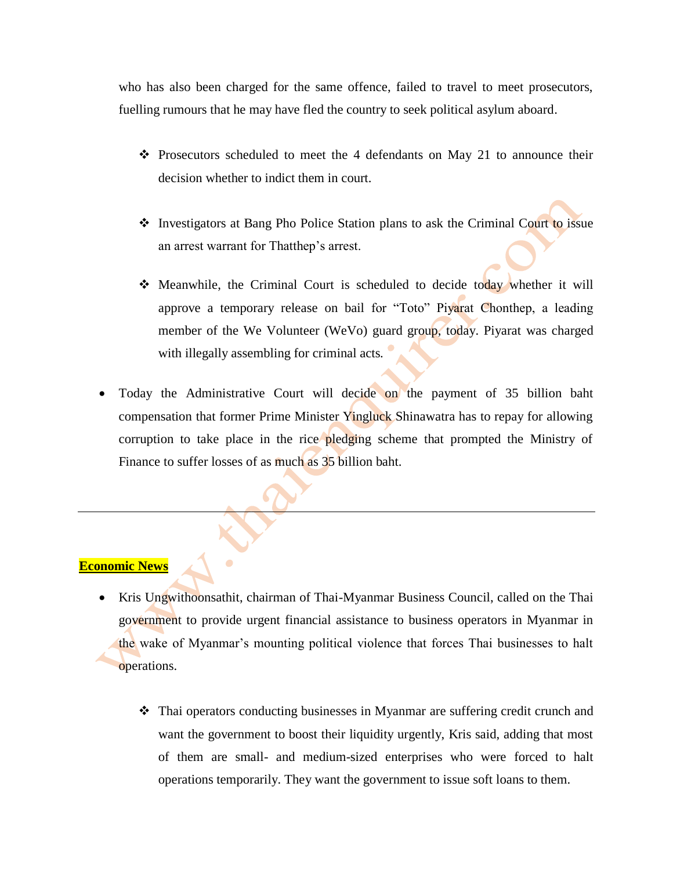who has also been charged for the same offence, failed to travel to meet prosecutors, fuelling rumours that he may have fled the country to seek political asylum aboard.

- $\div$  Prosecutors scheduled to meet the 4 defendants on May 21 to announce their decision whether to indict them in court.
- Investigators at Bang Pho Police Station plans to ask the Criminal Court to issue an arrest warrant for Thatthep's arrest.
- Meanwhile, the Criminal Court is scheduled to decide today whether it will approve a temporary release on bail for "Toto" Piyarat Chonthep, a leading member of the We Volunteer (WeVo) guard group, today. Piyarat was charged with illegally assembling for criminal acts.
- Today the Administrative Court will decide on the payment of 35 billion baht compensation that former Prime Minister Yingluck Shinawatra has to repay for allowing corruption to take place in the rice pledging scheme that prompted the Ministry of Finance to suffer losses of as much as 35 billion baht.

#### **Economic News**

- Kris Ungwithoonsathit, chairman of Thai-Myanmar Business Council, called on the Thai government to provide urgent financial assistance to business operators in Myanmar in the wake of Myanmar's mounting political violence that forces Thai businesses to halt operations.
	- Thai operators conducting businesses in Myanmar are suffering credit crunch and want the government to boost their liquidity urgently, Kris said, adding that most of them are small- and medium-sized enterprises who were forced to halt operations temporarily. They want the government to issue soft loans to them.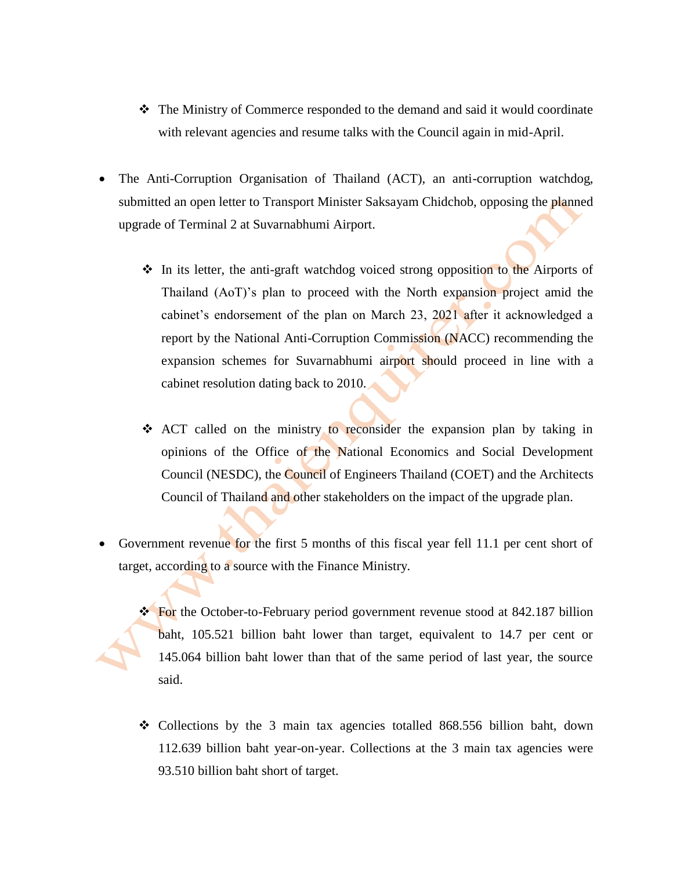- The Ministry of Commerce responded to the demand and said it would coordinate with relevant agencies and resume talks with the Council again in mid-April.
- The Anti-Corruption Organisation of Thailand (ACT), an anti-corruption watchdog, submitted an open letter to Transport Minister Saksayam Chidchob, opposing the planned upgrade of Terminal 2 at Suvarnabhumi Airport.
	- In its letter, the anti-graft watchdog voiced strong opposition to the Airports of Thailand (AoT)'s plan to proceed with the North expansion project amid the cabinet's endorsement of the plan on March 23, 2021 after it acknowledged a report by the National Anti-Corruption Commission (NACC) recommending the expansion schemes for Suvarnabhumi airport should proceed in line with a cabinet resolution dating back to 2010.
	- \* ACT called on the ministry to reconsider the expansion plan by taking in opinions of the Office of the National Economics and Social Development Council (NESDC), the Council of Engineers Thailand (COET) and the Architects Council of Thailand and other stakeholders on the impact of the upgrade plan.
- Government revenue for the first 5 months of this fiscal year fell 11.1 per cent short of target, according to a source with the Finance Ministry.
	- For the October-to-February period government revenue stood at 842.187 billion baht, 105.521 billion baht lower than target, equivalent to 14.7 per cent or 145.064 billion baht lower than that of the same period of last year, the source said.
	- Collections by the 3 main tax agencies totalled 868.556 billion baht, down 112.639 billion baht year-on-year. Collections at the 3 main tax agencies were 93.510 billion baht short of target.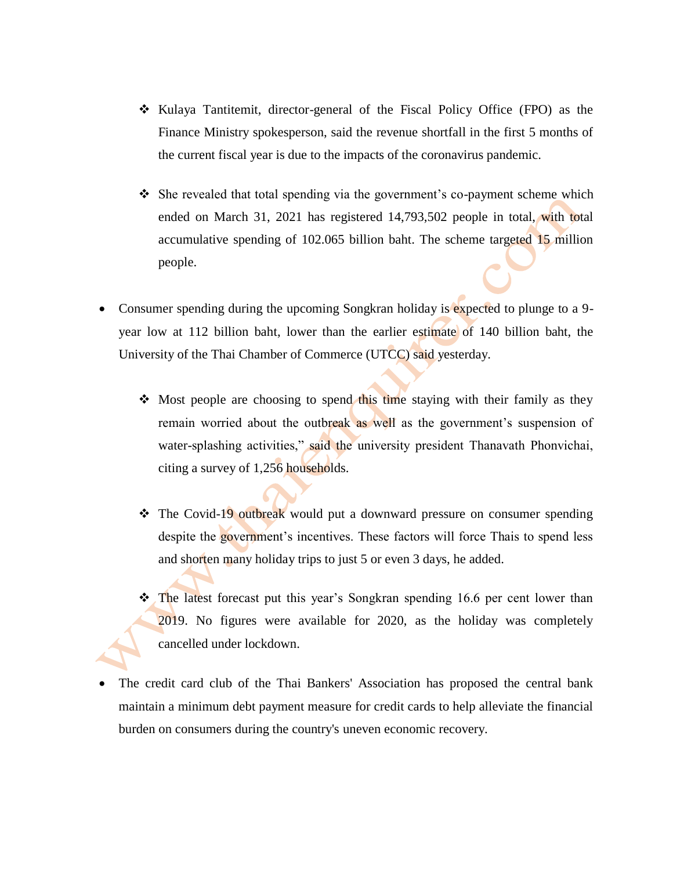- Kulaya Tantitemit, director-general of the Fiscal Policy Office (FPO) as the Finance Ministry spokesperson, said the revenue shortfall in the first 5 months of the current fiscal year is due to the impacts of the coronavirus pandemic.
- $\hat{\mathbf{v}}$  She revealed that total spending via the government's co-payment scheme which ended on March 31, 2021 has registered 14,793,502 people in total, with total accumulative spending of 102.065 billion baht. The scheme targeted 15 million people.
- Consumer spending during the upcoming Songkran holiday is expected to plunge to a 9 year low at 112 billion baht, lower than the earlier estimate of 140 billion baht, the University of the Thai Chamber of Commerce (UTCC) said yesterday.
	- $\div$  Most people are choosing to spend this time staying with their family as they remain worried about the outbreak as well as the government's suspension of water-splashing activities," said the university president Thanavath Phonvichai, citing a survey of 1,256 households.
	- The Covid-19 outbreak would put a downward pressure on consumer spending despite the government's incentives. These factors will force Thais to spend less and shorten many holiday trips to just 5 or even 3 days, he added.
	- The latest forecast put this year's Songkran spending 16.6 per cent lower than 2019. No figures were available for 2020, as the holiday was completely cancelled under lockdown.
- The credit card club of the Thai Bankers' Association has proposed the central bank maintain a minimum debt payment measure for credit cards to help alleviate the financial burden on consumers during the country's uneven economic recovery.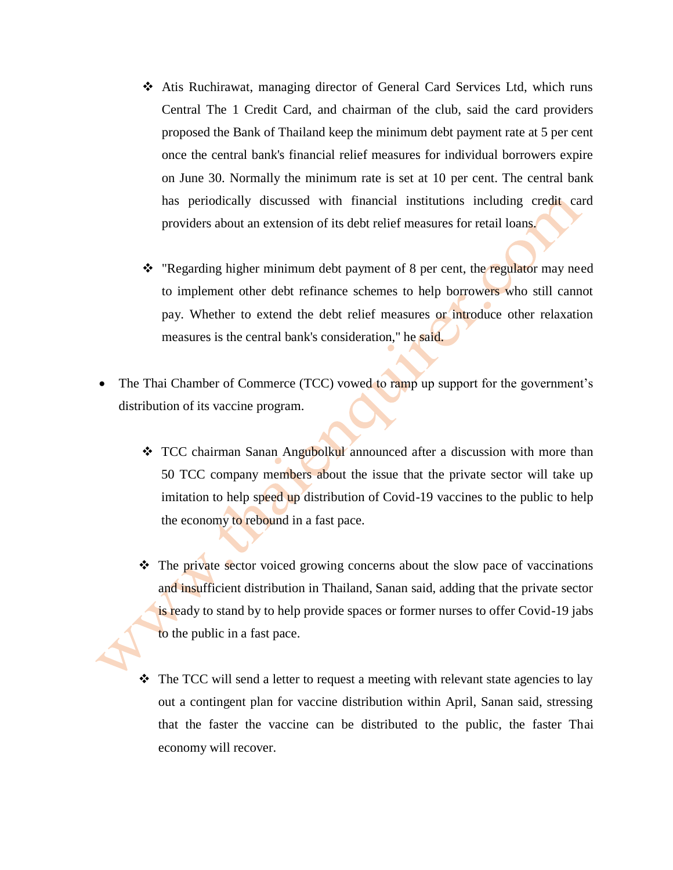- Atis Ruchirawat, managing director of General Card Services Ltd, which runs Central The 1 Credit Card, and chairman of the club, said the card providers proposed the Bank of Thailand keep the minimum debt payment rate at 5 per cent once the central bank's financial relief measures for individual borrowers expire on June 30. Normally the minimum rate is set at 10 per cent. The central bank has periodically discussed with financial institutions including credit card providers about an extension of its debt relief measures for retail loans.
- \* "Regarding higher minimum debt payment of 8 per cent, the regulator may need to implement other debt refinance schemes to help borrowers who still cannot pay. Whether to extend the debt relief measures or introduce other relaxation measures is the central bank's consideration," he said.
- The Thai Chamber of Commerce (TCC) vowed to ramp up support for the government's distribution of its vaccine program.
	- \* TCC chairman Sanan Angubolkul announced after a discussion with more than 50 TCC company members about the issue that the private sector will take up imitation to help speed up distribution of Covid-19 vaccines to the public to help the economy to rebound in a fast pace.
	- The private sector voiced growing concerns about the slow pace of vaccinations and insufficient distribution in Thailand, Sanan said, adding that the private sector is ready to stand by to help provide spaces or former nurses to offer Covid-19 jabs to the public in a fast pace.
	- $\triangleleft$  The TCC will send a letter to request a meeting with relevant state agencies to lay out a contingent plan for vaccine distribution within April, Sanan said, stressing that the faster the vaccine can be distributed to the public, the faster Thai economy will recover.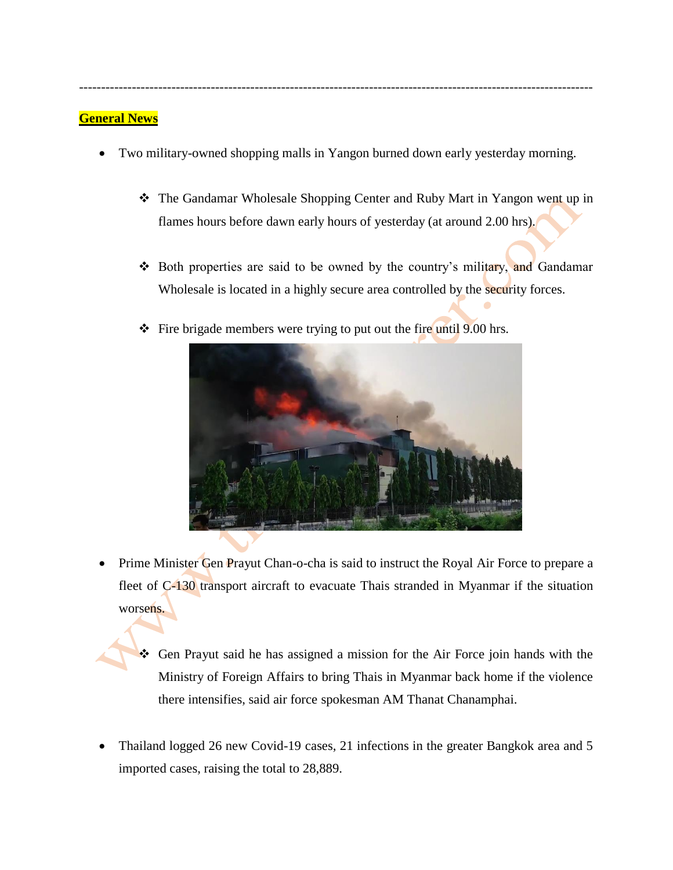Two military-owned shopping malls in Yangon burned down early yesterday morning.

---------------------------------------------------------------------------------------------------------------------

- The Gandamar Wholesale Shopping Center and Ruby Mart in Yangon went up in flames hours before dawn early hours of yesterday (at around 2.00 hrs).
- Both properties are said to be owned by the country's military, and Gandamar Wholesale is located in a highly secure area controlled by the security forces.
- $\div$  Fire brigade members were trying to put out the fire until 9.00 hrs.



- Prime Minister Gen Prayut Chan-o-cha is said to instruct the Royal Air Force to prepare a fleet of C-130 transport aircraft to evacuate Thais stranded in Myanmar if the situation worsens.
	- Gen Prayut said he has assigned a mission for the Air Force join hands with the Ministry of Foreign Affairs to bring Thais in Myanmar back home if the violence there intensifies, said air force spokesman AM Thanat Chanamphai.
- Thailand logged 26 new Covid-19 cases, 21 infections in the greater Bangkok area and 5 imported cases, raising the total to 28,889.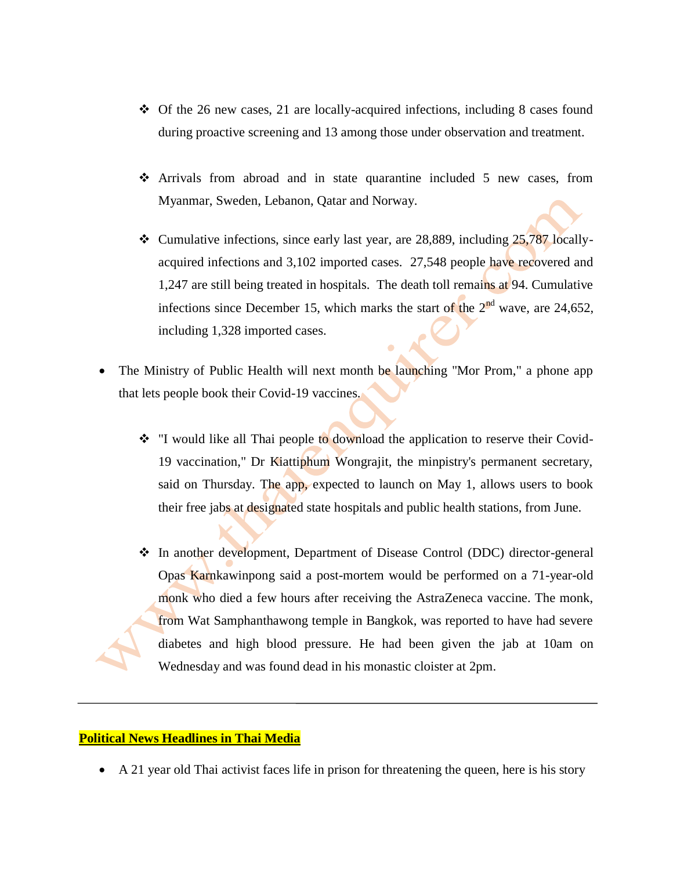- $\div$  Of the 26 new cases, 21 are locally-acquired infections, including 8 cases found during proactive screening and 13 among those under observation and treatment.
- Arrivals from abroad and in state quarantine included 5 new cases, from Myanmar, Sweden, Lebanon, Qatar and Norway.
- $\cdot$  Cumulative infections, since early last year, are 28,889, including 25,787 locallyacquired infections and 3,102 imported cases. 27,548 people have recovered and 1,247 are still being treated in hospitals. The death toll remains at 94. Cumulative infections since December 15, which marks the start of the  $2<sup>nd</sup>$  wave, are 24,652, including 1,328 imported cases.
- The Ministry of Public Health will next month be launching "Mor Prom," a phone app that lets people book their Covid-19 vaccines.
	- \* "I would like all Thai people to download the application to reserve their Covid-19 vaccination," Dr Kiattiphum Wongrajit, the minpistry's permanent secretary, said on Thursday. The app, expected to launch on May 1, allows users to book their free jabs at designated state hospitals and public health stations, from June.
	- In another development, Department of Disease Control (DDC) director-general Opas Karnkawinpong said a post-mortem would be performed on a 71-year-old monk who died a few hours after receiving the AstraZeneca vaccine. The monk, from Wat Samphanthawong temple in Bangkok, was reported to have had severe diabetes and high blood pressure. He had been given the jab at 10am on Wednesday and was found dead in his monastic cloister at 2pm.

#### **Political News Headlines in Thai Media**

A 21 year old Thai activist faces life in prison for threatening the queen, here is his story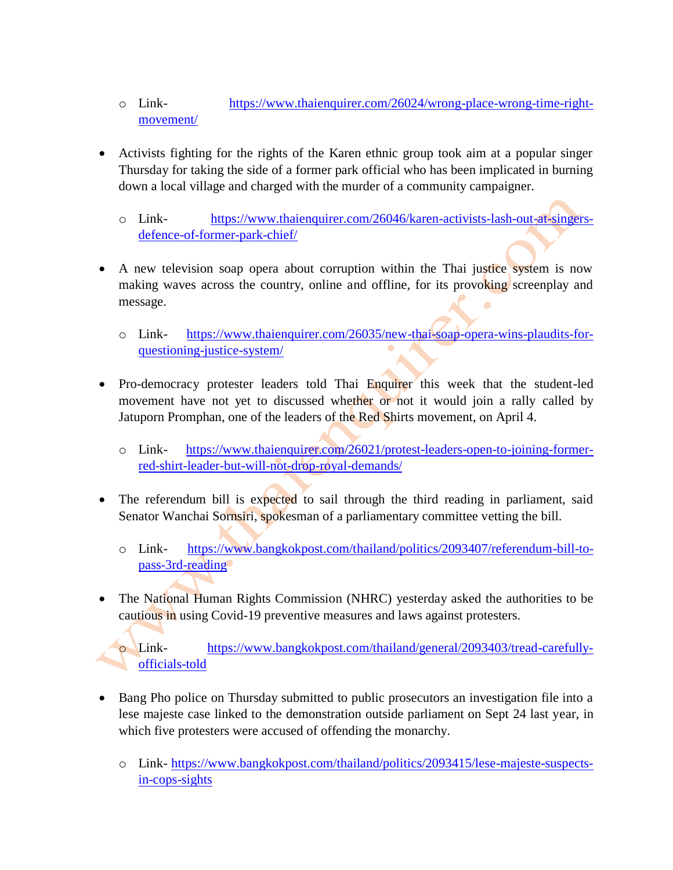- o Link- [https://www.thaienquirer.com/26024/wrong-place-wrong-time-right](https://www.thaienquirer.com/26024/wrong-place-wrong-time-right-movement/)[movement/](https://www.thaienquirer.com/26024/wrong-place-wrong-time-right-movement/)
- Activists fighting for the rights of the Karen ethnic group took aim at a popular singer Thursday for taking the side of a former park official who has been implicated in burning down a local village and charged with the murder of a community campaigner.
	- o Link- [https://www.thaienquirer.com/26046/karen-activists-lash-out-at-singers](https://www.thaienquirer.com/26046/karen-activists-lash-out-at-singers-defence-of-former-park-chief/)[defence-of-former-park-chief/](https://www.thaienquirer.com/26046/karen-activists-lash-out-at-singers-defence-of-former-park-chief/)
- A new television soap opera about corruption within the Thai justice system is now making waves across the country, online and offline, for its provoking screenplay and message.  $\bullet$ 
	- o Link- [https://www.thaienquirer.com/26035/new-thai-soap-opera-wins-plaudits-for](https://www.thaienquirer.com/26035/new-thai-soap-opera-wins-plaudits-for-questioning-justice-system/)[questioning-justice-system/](https://www.thaienquirer.com/26035/new-thai-soap-opera-wins-plaudits-for-questioning-justice-system/)
- Pro-democracy protester leaders told Thai Enquirer this week that the student-led movement have not yet to discussed whether or not it would join a rally called by Jatuporn Promphan, one of the leaders of the Red Shirts movement, on April 4.
	- o Link- [https://www.thaienquirer.com/26021/protest-leaders-open-to-joining-former](https://www.thaienquirer.com/26021/protest-leaders-open-to-joining-former-red-shirt-leader-but-will-not-drop-royal-demands/)[red-shirt-leader-but-will-not-drop-royal-demands/](https://www.thaienquirer.com/26021/protest-leaders-open-to-joining-former-red-shirt-leader-but-will-not-drop-royal-demands/)
- The referendum bill is expected to sail through the third reading in parliament, said Senator Wanchai Sornsiri, spokesman of a parliamentary committee vetting the bill.
	- o Link- [https://www.bangkokpost.com/thailand/politics/2093407/referendum-bill-to](https://www.bangkokpost.com/thailand/politics/2093407/referendum-bill-to-pass-3rd-reading)[pass-3rd-reading](https://www.bangkokpost.com/thailand/politics/2093407/referendum-bill-to-pass-3rd-reading)
- The National Human Rights Commission (NHRC) yesterday asked the authorities to be cautious in using Covid-19 preventive measures and laws against protesters.

o Link- [https://www.bangkokpost.com/thailand/general/2093403/tread-carefully](https://www.bangkokpost.com/thailand/general/2093403/tread-carefully-officials-told)[officials-told](https://www.bangkokpost.com/thailand/general/2093403/tread-carefully-officials-told)

- Bang Pho police on Thursday submitted to public prosecutors an investigation file into a lese majeste case linked to the demonstration outside parliament on Sept 24 last year, in which five protesters were accused of offending the monarchy.
	- o Link- [https://www.bangkokpost.com/thailand/politics/2093415/lese-majeste-suspects](https://www.bangkokpost.com/thailand/politics/2093415/lese-majeste-suspects-in-cops-sights)[in-cops-sights](https://www.bangkokpost.com/thailand/politics/2093415/lese-majeste-suspects-in-cops-sights)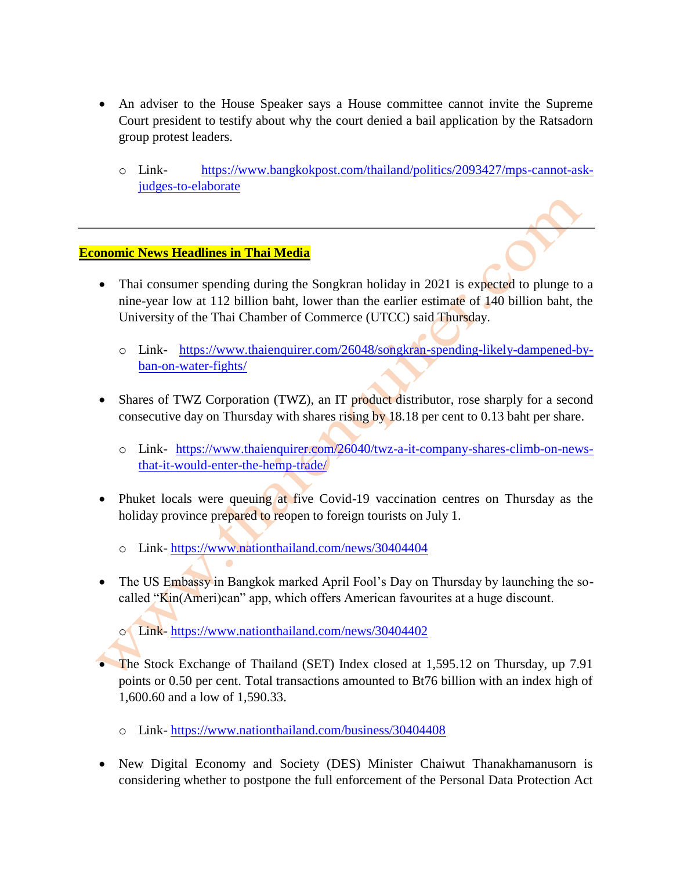- An adviser to the House Speaker says a House committee cannot invite the Supreme Court president to testify about why the court denied a bail application by the Ratsadorn group protest leaders.
	- o Link- [https://www.bangkokpost.com/thailand/politics/2093427/mps-cannot-ask](https://www.bangkokpost.com/thailand/politics/2093427/mps-cannot-ask-judges-to-elaborate)[judges-to-elaborate](https://www.bangkokpost.com/thailand/politics/2093427/mps-cannot-ask-judges-to-elaborate)

#### **Economic News Headlines in Thai Media**

- Thai consumer spending during the Songkran holiday in 2021 is expected to plunge to a nine-year low at 112 billion baht, lower than the earlier estimate of 140 billion baht, the University of the Thai Chamber of Commerce (UTCC) said Thursday.
	- o Link- [https://www.thaienquirer.com/26048/songkran-spending-likely-dampened-by](https://www.thaienquirer.com/26048/songkran-spending-likely-dampened-by-ban-on-water-fights/)[ban-on-water-fights/](https://www.thaienquirer.com/26048/songkran-spending-likely-dampened-by-ban-on-water-fights/)
- Shares of TWZ Corporation (TWZ), an IT product distributor, rose sharply for a second consecutive day on Thursday with shares rising by 18.18 per cent to 0.13 baht per share.
	- o Link- [https://www.thaienquirer.com/26040/twz-a-it-company-shares-climb-on-news](https://www.thaienquirer.com/26040/twz-a-it-company-shares-climb-on-news-that-it-would-enter-the-hemp-trade/)[that-it-would-enter-the-hemp-trade/](https://www.thaienquirer.com/26040/twz-a-it-company-shares-climb-on-news-that-it-would-enter-the-hemp-trade/)
- Phuket locals were queuing at five Covid-19 vaccination centres on Thursday as the holiday province prepared to reopen to foreign tourists on July 1.
	- o Link- <https://www.nationthailand.com/news/30404404>
- The US Embassy in Bangkok marked April Fool's Day on Thursday by launching the socalled "Kin(Ameri)can" app, which offers American favourites at a huge discount.

o Link- <https://www.nationthailand.com/news/30404402>

- The Stock Exchange of Thailand (SET) Index closed at 1,595.12 on Thursday, up 7.91 points or 0.50 per cent. Total transactions amounted to Bt76 billion with an index high of 1,600.60 and a low of 1,590.33.
	- o Link- <https://www.nationthailand.com/business/30404408>
- New Digital Economy and Society (DES) Minister Chaiwut Thanakhamanusorn is considering whether to postpone the full enforcement of the Personal Data Protection Act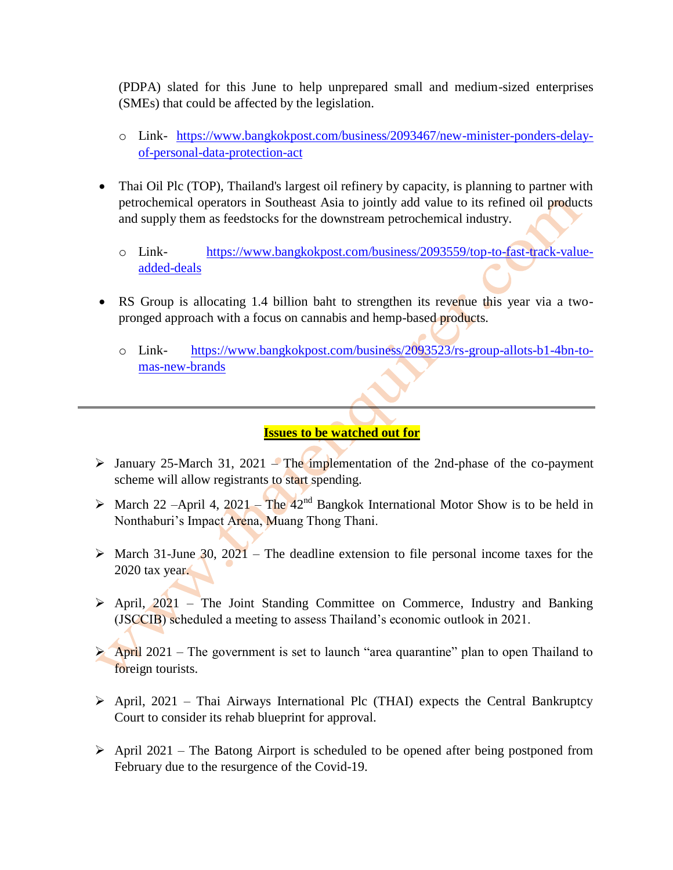(PDPA) slated for this June to help unprepared small and medium-sized enterprises (SMEs) that could be affected by the legislation.

- o Link- [https://www.bangkokpost.com/business/2093467/new-minister-ponders-delay](https://www.bangkokpost.com/business/2093467/new-minister-ponders-delay-of-personal-data-protection-act)[of-personal-data-protection-act](https://www.bangkokpost.com/business/2093467/new-minister-ponders-delay-of-personal-data-protection-act)
- Thai Oil Plc (TOP), Thailand's largest oil refinery by capacity, is planning to partner with petrochemical operators in Southeast Asia to jointly add value to its refined oil products and supply them as feedstocks for the downstream petrochemical industry.
	- o Link- [https://www.bangkokpost.com/business/2093559/top-to-fast-track-value](https://www.bangkokpost.com/business/2093559/top-to-fast-track-value-added-deals)[added-deals](https://www.bangkokpost.com/business/2093559/top-to-fast-track-value-added-deals)
- RS Group is allocating 1.4 billion baht to strengthen its revenue this year via a twopronged approach with a focus on cannabis and hemp-based products.
	- o Link- [https://www.bangkokpost.com/business/2093523/rs-group-allots-b1-4bn-to](https://www.bangkokpost.com/business/2093523/rs-group-allots-b1-4bn-to-mas-new-brands)[mas-new-brands](https://www.bangkokpost.com/business/2093523/rs-group-allots-b1-4bn-to-mas-new-brands)

#### **Issues to be watched out for**

- $\triangleright$  January 25-March 31, 2021 The implementation of the 2nd-phase of the co-payment scheme will allow registrants to start spending.
- $\triangleright$  March 22 –April 4, 2021 The 42<sup>nd</sup> Bangkok International Motor Show is to be held in Nonthaburi's Impact Arena, Muang Thong Thani.
- $\triangleright$  March 31-June 30, 2021 The deadline extension to file personal income taxes for the 2020 tax year.
- $\triangleright$  April, 2021 The Joint Standing Committee on Commerce, Industry and Banking (JSCCIB) scheduled a meeting to assess Thailand's economic outlook in 2021.
- $\triangleright$  April 2021 The government is set to launch "area quarantine" plan to open Thailand to foreign tourists.
- $\triangleright$  April, 2021 Thai Airways International Plc (THAI) expects the Central Bankruptcy Court to consider its rehab blueprint for approval.
- $\triangleright$  April 2021 The Batong Airport is scheduled to be opened after being postponed from February due to the resurgence of the Covid-19.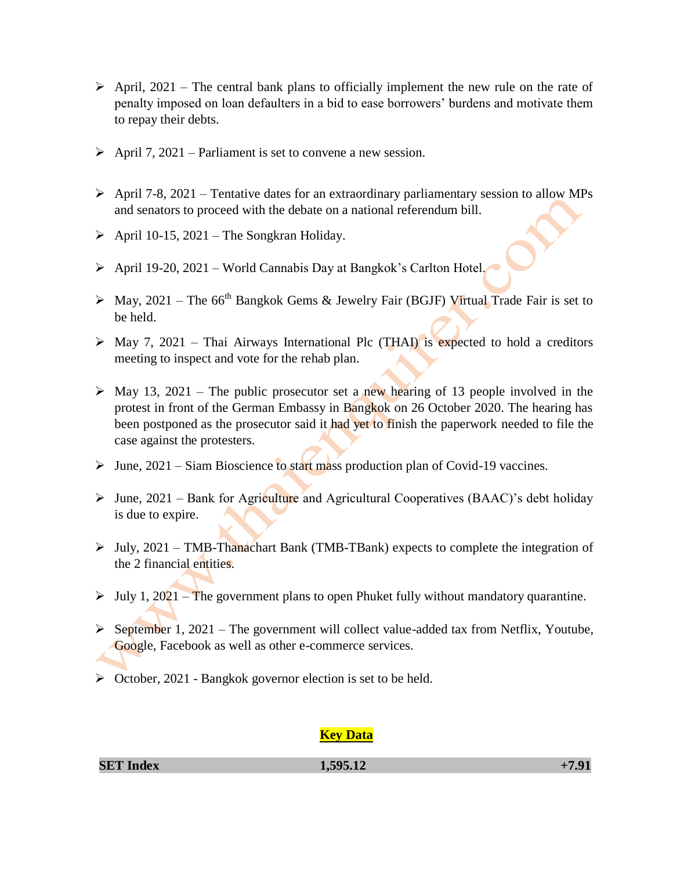- $\triangleright$  April, 2021 The central bank plans to officially implement the new rule on the rate of penalty imposed on loan defaulters in a bid to ease borrowers' burdens and motivate them to repay their debts.
- $\triangleright$  April 7, 2021 Parliament is set to convene a new session.
- $\triangleright$  April 7-8, 2021 Tentative dates for an extraordinary parliamentary session to allow MPs and senators to proceed with the debate on a national referendum bill.
- $\triangleright$  April 10-15, 2021 The Songkran Holiday.
- $\triangleright$  April 19-20, 2021 World Cannabis Day at Bangkok's Carlton Hotel.
- $\triangleright$  May, 2021 The 66<sup>th</sup> Bangkok Gems & Jewelry Fair (BGJF) Virtual Trade Fair is set to be held.
- $\triangleright$  May 7, 2021 Thai Airways International Plc (THAI) is expected to hold a creditors meeting to inspect and vote for the rehab plan.
- $\triangleright$  May 13, 2021 The public prosecutor set a new hearing of 13 people involved in the protest in front of the German Embassy in Bangkok on 26 October 2020. The hearing has been postponed as the prosecutor said it had yet to finish the paperwork needed to file the case against the protesters.
- $\triangleright$  June, 2021 Siam Bioscience to start mass production plan of Covid-19 vaccines.
- $\triangleright$  June, 2021 Bank for Agriculture and Agricultural Cooperatives (BAAC)'s debt holiday is due to expire.
- $\triangleright$  July, 2021 TMB-Thanachart Bank (TMB-TBank) expects to complete the integration of the 2 financial entities.
- $\triangleright$  July 1, 2021 The government plans to open Phuket fully without mandatory quarantine.
- $\triangleright$  September 1, 2021 The government will collect value-added tax from Netflix, Youtube, Google, Facebook as well as other e-commerce services.
- $\triangleright$  October, 2021 Bangkok governor election is set to be held.

#### **Key Data**

| $+7.91$ |
|---------|
|         |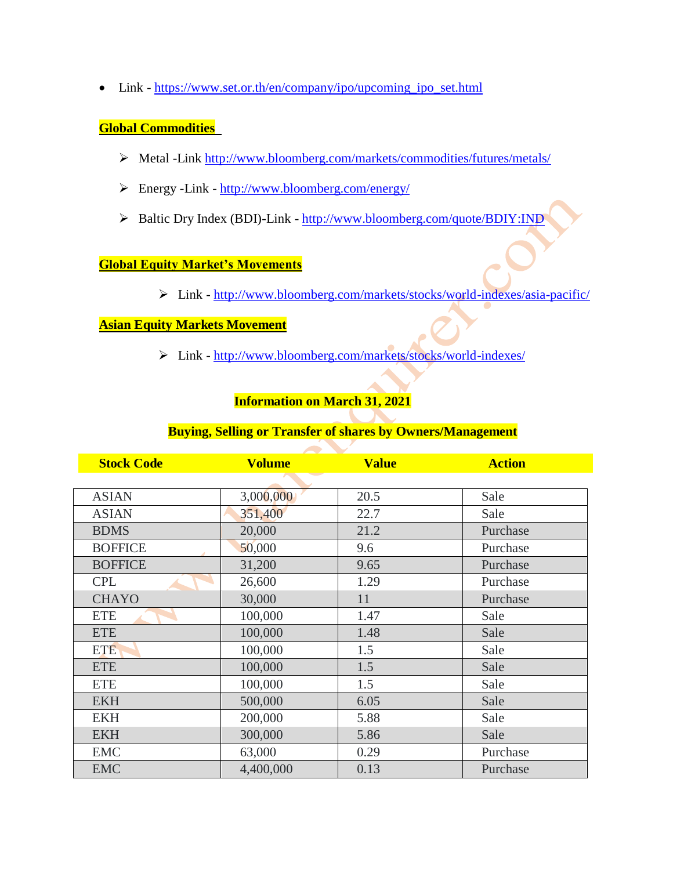• Link - [https://www.set.or.th/en/company/ipo/upcoming\\_ipo\\_set.html](https://www.set.or.th/en/company/ipo/upcoming_ipo_set.html)

# **Global Commodities**

- Metal -Link<http://www.bloomberg.com/markets/commodities/futures/metals/>
- Energy -Link <http://www.bloomberg.com/energy/>
- Baltic Dry Index (BDI)-Link <http://www.bloomberg.com/quote/BDIY:IND>

#### **Global Equity Market's Movements**

Link - <http://www.bloomberg.com/markets/stocks/world-indexes/asia-pacific/>

# **Asian Equity Markets Movement**

Link - <http://www.bloomberg.com/markets/stocks/world-indexes/>

# **Information on March 31, 2021**

### **Buying, Selling or Transfer of shares by Owners/Management**

| <b>Stock Code</b> | <b>Volume</b> | <b>Value</b> | <b>Action</b> |
|-------------------|---------------|--------------|---------------|
|                   |               |              |               |
| <b>ASIAN</b>      | 3,000,000     | 20.5         | Sale          |
| <b>ASIAN</b>      | 351,400       | 22.7         | Sale          |
| <b>BDMS</b>       | 20,000        | 21.2         | Purchase      |
| <b>BOFFICE</b>    | 50,000        | 9.6          | Purchase      |
| <b>BOFFICE</b>    | 31,200        | 9.65         | Purchase      |
| <b>CPL</b>        | 26,600        | 1.29         | Purchase      |
| <b>CHAYO</b>      | 30,000        | 11           | Purchase      |
| <b>ETE</b>        | 100,000       | 1.47         | Sale          |
| <b>ETE</b>        | 100,000       | 1.48         | Sale          |
| <b>ETE</b>        | 100,000       | 1.5          | Sale          |
| <b>ETE</b>        | 100,000       | 1.5          | Sale          |
| <b>ETE</b>        | 100,000       | 1.5          | Sale          |
| <b>EKH</b>        | 500,000       | 6.05         | Sale          |
| <b>EKH</b>        | 200,000       | 5.88         | Sale          |
| <b>EKH</b>        | 300,000       | 5.86         | Sale          |
| <b>EMC</b>        | 63,000        | 0.29         | Purchase      |
| <b>EMC</b>        | 4,400,000     | 0.13         | Purchase      |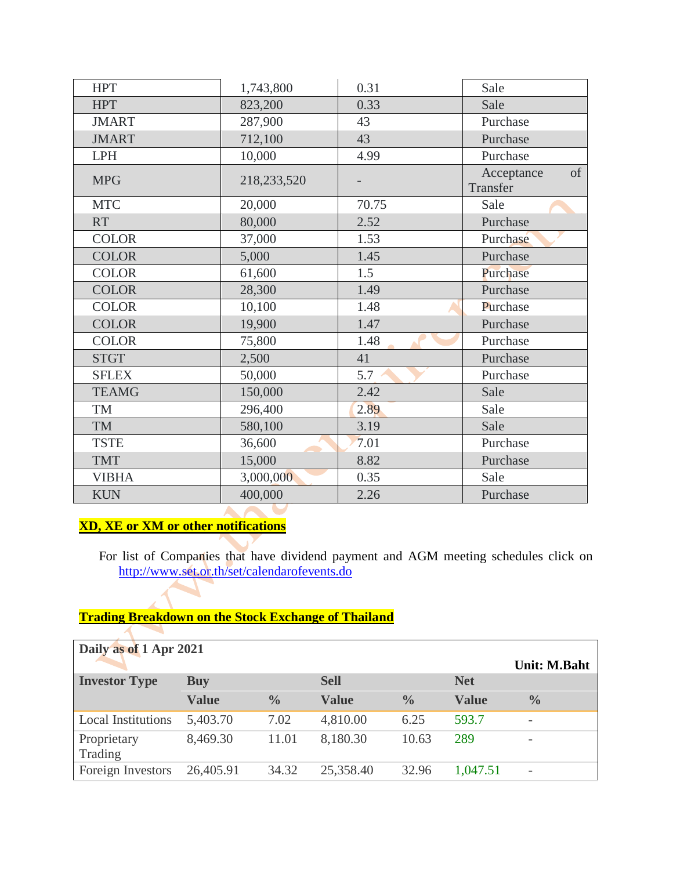| <b>HPT</b>   | 1,743,800   | 0.31  | Sale                         |
|--------------|-------------|-------|------------------------------|
| <b>HPT</b>   | 823,200     | 0.33  | Sale                         |
| <b>JMART</b> | 287,900     | 43    | Purchase                     |
| <b>JMART</b> | 712,100     | 43    | Purchase                     |
| <b>LPH</b>   | 10,000      | 4.99  | Purchase                     |
| <b>MPG</b>   | 218,233,520 |       | of<br>Acceptance<br>Transfer |
| <b>MTC</b>   | 20,000      | 70.75 | Sale                         |
| <b>RT</b>    | 80,000      | 2.52  | Purchase                     |
| <b>COLOR</b> | 37,000      | 1.53  | Purchase                     |
| <b>COLOR</b> | 5,000       | 1.45  | Purchase                     |
| <b>COLOR</b> | 61,600      | 1.5   | Purchase                     |
| <b>COLOR</b> | 28,300      | 1.49  | Purchase                     |
| <b>COLOR</b> | 10,100      | 1.48  | Purchase                     |
| <b>COLOR</b> | 19,900      | 1.47  | Purchase                     |
| <b>COLOR</b> | 75,800      | 1.48  | Purchase                     |
| <b>STGT</b>  | 2,500       | 41    | Purchase                     |
| <b>SFLEX</b> | 50,000      | 5.7   | Purchase                     |
| <b>TEAMG</b> | 150,000     | 2.42  | Sale                         |
| <b>TM</b>    | 296,400     | 2.89  | Sale                         |
| <b>TM</b>    | 580,100     | 3.19  | Sale                         |
| <b>TSTE</b>  | 36,600      | 7.01  | Purchase                     |
| <b>TMT</b>   | 15,000      | 8.82  | Purchase                     |
| <b>VIBHA</b> | 3,000,000   | 0.35  | Sale                         |
| <b>KUN</b>   | 400,000     | 2.26  | Purchase                     |
|              |             |       |                              |

# **XD, XE or XM or other notifications**

 $\blacktriangleleft$ 

For list of Companies that have dividend payment and AGM meeting schedules click on <http://www.set.or.th/set/calendarofevents.do>

# **Trading Breakdown on the Stock Exchange of Thailand**

| Daily as of 1 Apr 2021    |              |               |              |               |              | <b>Unit: M.Baht</b>      |
|---------------------------|--------------|---------------|--------------|---------------|--------------|--------------------------|
| <b>Investor Type</b>      | <b>Buy</b>   |               | <b>Sell</b>  |               | <b>Net</b>   |                          |
|                           | <b>Value</b> | $\frac{0}{0}$ | <b>Value</b> | $\frac{0}{0}$ | <b>Value</b> | $\frac{0}{0}$            |
| <b>Local Institutions</b> | 5,403.70     | 7.02          | 4,810.00     | 6.25          | 593.7        | $\overline{\phantom{0}}$ |
| Proprietary<br>Trading    | 8,469.30     | 11.01         | 8,180.30     | 10.63         | 289          |                          |
| Foreign Investors         | 26,405.91    | 34.32         | 25,358.40    | 32.96         | 1,047.51     | $\overline{\phantom{0}}$ |